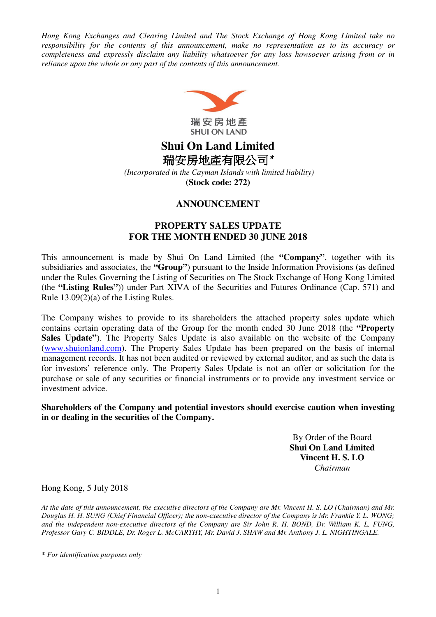*Hong Kong Exchanges and Clearing Limited and The Stock Exchange of Hong Kong Limited take no responsibility for the contents of this announcement, make no representation as to its accuracy or completeness and expressly disclaim any liability whatsoever for any loss howsoever arising from or in reliance upon the whole or any part of the contents of this announcement.* 



# **Shui On Land Limited**  瑞安房地產有限公司**\***

 *(Incorporated in the Cayman Islands with limited liability)*  **(Stock code: 272)** 

#### **ANNOUNCEMENT**

#### **PROPERTY SALES UPDATE FOR THE MONTH ENDED 30 JUNE 2018**

This announcement is made by Shui On Land Limited (the **"Company"**, together with its subsidiaries and associates, the **"Group"**) pursuant to the Inside Information Provisions (as defined under the Rules Governing the Listing of Securities on The Stock Exchange of Hong Kong Limited (the **"Listing Rules"**)) under Part XIVA of the Securities and Futures Ordinance (Cap. 571) and Rule 13.09(2)(a) of the Listing Rules.

The Company wishes to provide to its shareholders the attached property sales update which contains certain operating data of the Group for the month ended 30 June 2018 (the **"Property Sales Update"**). The Property Sales Update is also available on the website of the Company (www.shuionland.com). The Property Sales Update has been prepared on the basis of internal management records. It has not been audited or reviewed by external auditor, and as such the data is for investors' reference only. The Property Sales Update is not an offer or solicitation for the purchase or sale of any securities or financial instruments or to provide any investment service or investment advice.

**Shareholders of the Company and potential investors should exercise caution when investing in or dealing in the securities of the Company.**

> By Order of the Board **Shui On Land Limited Vincent H. S. LO**  *Chairman*

Hong Kong, 5 July 2018

*At the date of this announcement, the executive directors of the Company are Mr. Vincent H. S. LO (Chairman) and Mr.*  Douglas H. H. SUNG (Chief Financial Officer); the non*-*executive director of the Company is Mr. Frankie Y. L. WONG; *and the independent non-executive directors of the Company are Sir John R. H. BOND, Dr. William K. L. FUNG, Professor Gary C. BIDDLE, Dr. Roger L. McCARTHY, Mr. David J. SHAW and Mr. Anthony J. L. NIGHTINGALE.* 

**\*** *For identification purposes only*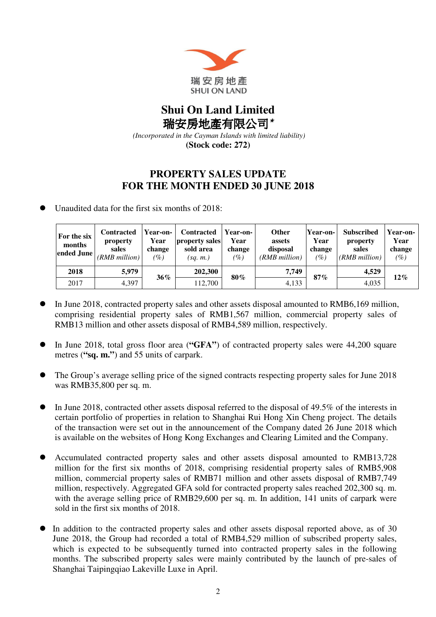

## **Shui On Land Limited**  瑞安房地產有限公司**\***

 *(Incorporated in the Cayman Islands with limited liability)* 

**(Stock code: 272)** 

### **PROPERTY SALES UPDATE FOR THE MONTH ENDED 30 JUNE 2018**

Unaudited data for the first six months of 2018:

| For the six<br>months<br>ended June | <b>Contracted</b><br>property<br>sales<br>(RMB million) | Year-on-<br>Year<br>change<br>$\left( \% \right)$ | <b>Contracted</b><br>property sales<br>sold area<br>(sq. m.) | Year-on-<br>Year<br>change<br>(%) | <b>Other</b><br>assets<br>disposal<br>(RMB million) | Year-on-<br>Year<br>change<br>(%) | <b>Subscribed</b><br>property<br>sales<br>(RMB million) | <b>Year-on-</b><br>Year<br>change<br>$(\%)$ |
|-------------------------------------|---------------------------------------------------------|---------------------------------------------------|--------------------------------------------------------------|-----------------------------------|-----------------------------------------------------|-----------------------------------|---------------------------------------------------------|---------------------------------------------|
| 2018                                | 5,979                                                   | $36\%$                                            | 202,300                                                      | 80%                               | 7,749                                               | 87%                               | 4,529                                                   | $12\%$                                      |
| 2017                                | 4,397                                                   |                                                   | 112.700                                                      |                                   | 4.133                                               |                                   | 4,035                                                   |                                             |

- In June 2018, contracted property sales and other assets disposal amounted to RMB6,169 million, comprising residential property sales of RMB1,567 million, commercial property sales of RMB13 million and other assets disposal of RMB4,589 million, respectively.
- In June 2018, total gross floor area (**"GFA"**) of contracted property sales were 44,200 square metres (**"sq. m."**) and 55 units of carpark.
- The Group's average selling price of the signed contracts respecting property sales for June 2018 was RMB35,800 per sq. m.
- In June 2018, contracted other assets disposal referred to the disposal of 49.5% of the interests in certain portfolio of properties in relation to Shanghai Rui Hong Xin Cheng project. The details of the transaction were set out in the announcement of the Company dated 26 June 2018 which is available on the websites of Hong Kong Exchanges and Clearing Limited and the Company.
- Accumulated contracted property sales and other assets disposal amounted to RMB13,728 million for the first six months of 2018, comprising residential property sales of RMB5,908 million, commercial property sales of RMB71 million and other assets disposal of RMB7,749 million, respectively. Aggregated GFA sold for contracted property sales reached 202,300 sq. m. with the average selling price of RMB29,600 per sq. m. In addition, 141 units of carpark were sold in the first six months of 2018.
- In addition to the contracted property sales and other assets disposal reported above, as of 30 June 2018, the Group had recorded a total of RMB4,529 million of subscribed property sales, which is expected to be subsequently turned into contracted property sales in the following months. The subscribed property sales were mainly contributed by the launch of pre-sales of Shanghai Taipingqiao Lakeville Luxe in April.